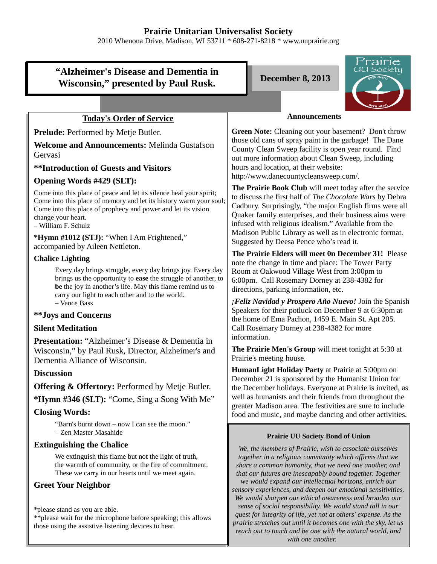# **Prairie Unitarian Universalist Society**

2010 Whenona Drive, Madison, WI 53711 \* 608-271-8218 \* www.uuprairie.org

# **"Alzheimer's Disease and Dementia in** Wisconsin," presented by Paul Rusk. December 8, 2013



## **Today's Order of Service**

**Prelude:** Performed by Metje Butler.

**Welcome and Announcements:** Melinda Gustafson Gervasi

## **\*\*Introduction of Guests and Visitors**

#### **Opening Words #429 (SLT):**

Come into this place of peace and let its silence heal your spirit; Come into this place of memory and let its history warm your soul; Come into this place of prophecy and power and let its vision change your heart.

– William F. Schulz

**\*Hymn #1012 (STJ):** "When I Am Frightened," accompanied by Aileen Nettleton.

#### **Chalice Lighting**

Every day brings struggle, every day brings joy. Every day brings us the opportunity to **ease** the struggle of another, to **be** the joy in another's life. May this flame remind us to carry our light to each other and to the world. – Vance Bass

#### **\*\*Joys and Concerns**

## **Silent Meditation**

**Presentation:** "Alzheimer's Disease & Dementia in Wisconsin," by Paul Rusk, Director, Alzheimer's and Dementia Alliance of Wisconsin.

## **Discussion**

**Offering & Offertory:** Performed by Metje Butler.

**\*Hymn #346 (SLT):** "Come, Sing a Song With Me"

## **Closing Words:**

"Barn's burnt down – now I can see the moon." – Zen Master Masahide

## **Extinguishing the Chalice**

We extinguish this flame but not the light of truth, the warmth of community, or the fire of commitment. These we carry in our hearts until we meet again.

## **Greet Your Neighbor**

\*please stand as you are able.

\*\*please wait for the microphone before speaking; this allows those using the assistive listening devices to hear.

#### **Announcements**

**Green Note:** Cleaning out your basement? Don't throw those old cans of spray paint in the garbage! The Dane County Clean Sweep facility is open year round. Find out more information about Clean Sweep, including hours and location, at their website: http://www.danecountycleansweep.com/.

**The Prairie Book Club** will meet today after the service to discuss the first half of *The Chocolate Wars* by Debra Cadbury. Surprisingly, "the major English firms were all Quaker family enterprises, and their business aims were infused with religious idealism." Available from the Madison Public Library as well as in electronic format. Suggested by Deesa Pence who's read it.

**The Prairie Elders will meet 0n December 31!** Please note the change in time and place: The Tower Party Room at Oakwood Village West from 3:00pm to 6:00pm. Call Rosemary Dorney at 238-4382 for directions, parking information, etc.

*¡Feliz Navidad y Prospero Año Nuevo!* Join the Spanish Speakers for their potluck on December 9 at 6:30pm at the home of Ema Pachon, 1459 E. Main St. Apt 205. Call Rosemary Dorney at 238-4382 for more information.

**The Prairie Men's Group** will meet tonight at 5:30 at Prairie's meeting house.

**HumanLight Holiday Party** at Prairie at 5:00pm on December 21 is sponsored by the Humanist Union for the December holidays. Everyone at Prairie is invited, as well as humanists and their friends from throughout the greater Madison area. The festivities are sure to include food and music, and maybe dancing and other activities.

#### **Prairie UU Society Bond of Union**

*We, the members of Prairie, wish to associate ourselves together in a religious community which affirms that we share a common humanity, that we need one another, and that our futures are inescapably bound together. Together we would expand our intellectual horizons, enrich our sensory experiences, and deepen our emotional sensitivities. We would sharpen our ethical awareness and broaden our sense of social responsibility. We would stand tall in our quest for integrity of life, yet not at others' expense. As the prairie stretches out until it becomes one with the sky, let us reach out to touch and be one with the natural world, and with one another.*